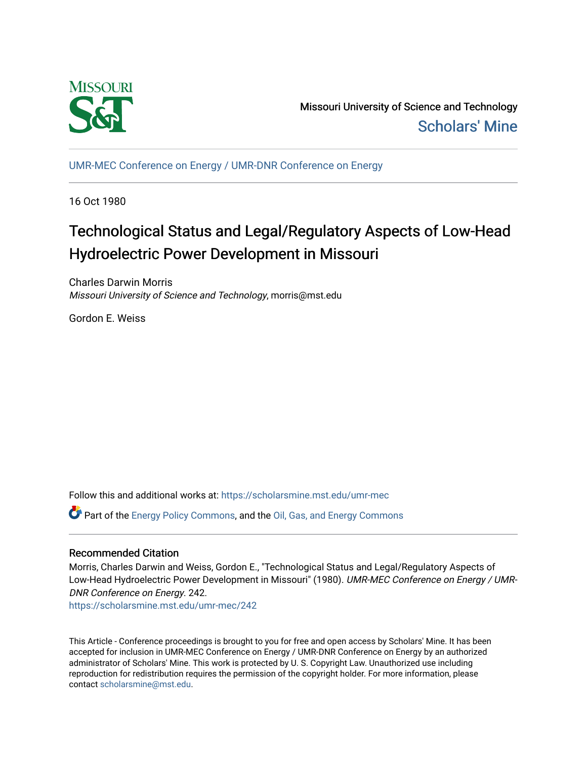

Missouri University of Science and Technology [Scholars' Mine](https://scholarsmine.mst.edu/) 

[UMR-MEC Conference on Energy / UMR-DNR Conference on Energy](https://scholarsmine.mst.edu/umr-mec)

16 Oct 1980

# Technological Status and Legal/Regulatory Aspects of Low-Head Hydroelectric Power Development in Missouri

Charles Darwin Morris Missouri University of Science and Technology, morris@mst.edu

Gordon E. Weiss

Follow this and additional works at: [https://scholarsmine.mst.edu/umr-mec](https://scholarsmine.mst.edu/umr-mec?utm_source=scholarsmine.mst.edu%2Fumr-mec%2F242&utm_medium=PDF&utm_campaign=PDFCoverPages) 

Part of the [Energy Policy Commons](http://network.bepress.com/hgg/discipline/1065?utm_source=scholarsmine.mst.edu%2Fumr-mec%2F242&utm_medium=PDF&utm_campaign=PDFCoverPages), and the [Oil, Gas, and Energy Commons](http://network.bepress.com/hgg/discipline/171?utm_source=scholarsmine.mst.edu%2Fumr-mec%2F242&utm_medium=PDF&utm_campaign=PDFCoverPages)

# Recommended Citation

Morris, Charles Darwin and Weiss, Gordon E., "Technological Status and Legal/Regulatory Aspects of Low-Head Hydroelectric Power Development in Missouri" (1980). UMR-MEC Conference on Energy / UMR-DNR Conference on Energy. 242.

[https://scholarsmine.mst.edu/umr-mec/242](https://scholarsmine.mst.edu/umr-mec/242?utm_source=scholarsmine.mst.edu%2Fumr-mec%2F242&utm_medium=PDF&utm_campaign=PDFCoverPages) 

This Article - Conference proceedings is brought to you for free and open access by Scholars' Mine. It has been accepted for inclusion in UMR-MEC Conference on Energy / UMR-DNR Conference on Energy by an authorized administrator of Scholars' Mine. This work is protected by U. S. Copyright Law. Unauthorized use including reproduction for redistribution requires the permission of the copyright holder. For more information, please contact [scholarsmine@mst.edu](mailto:scholarsmine@mst.edu).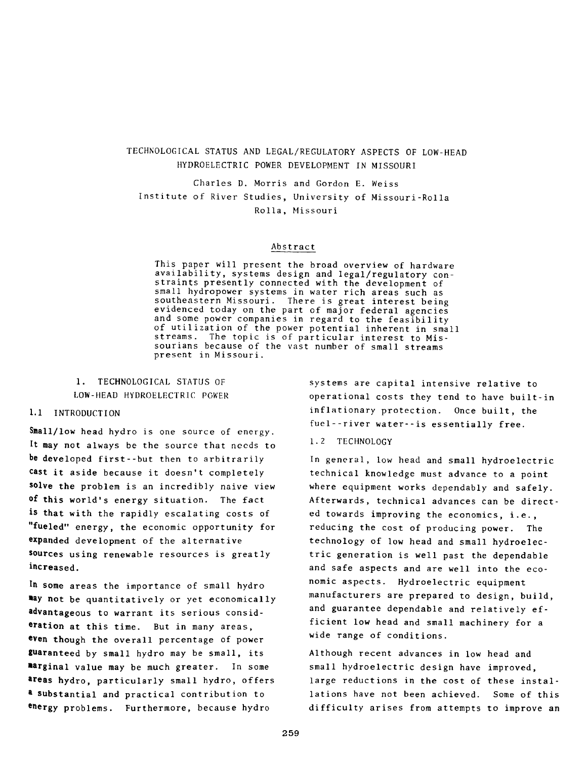# TECHNOLOGICAL STATUS AND LEGAL/REGULATORY ASPECTS OF LOW-HEAD HYDROELECTRIC POWER DEVELOPMENT IN MISSOURI

Charles D. Morris and Gordon E. Weiss Institute of River Studies, University of Missouri-Rolla Rolla, Missouri

#### Abstract

This paper will present the broad overview of hardware availability, systems design and 1egal/regulatory constraints presently connected with the development of small hydropower systems in water rich areas such as southeastern Missouri. There is great interest being evidenced today on the part of major federal agencies and some power companies in regard to the feasibility of utilization of the power potential inherent in small streams. The topic is of particular interest to Missourians because of the vast number of small streams present in Missouri.

## 1. TECHNOLOGICAL STATUS OF LOW-HEAD HYDROELECTRIC POWER

#### 1.1 INTRODUCTION

Small/low head hydro is one source of energy. **It may** not always be the source that needs to be developed first--but then to arbitrarily cast it aside because it doesn't completely **solve** the problem is an incredibly naive view of this world's energy situation. The fact **is that** with the rapidly escalating costs of **"fueled"** energy, the economic opportunity for **expanded** development of the alternative **sources** using renewable resources is greatly **increased.**

**In some** areas the importance of small hydro **®ay not** be quantitatively or yet economically **advantageous** to warrant its serious consid**eration** at this time. But in many areas, **eVen** though the overall percentage of power **guaranteed** by small hydro may be small, its **■arg inal** value may be much greater. In some areas hydro, particularly small hydro, offers a substantial and practical contribution to **energy** problems. Furthermore, because hydro

systems are capital intensive relative to operational costs they tend to have built-in inflationary protection. Once built, the fuel--river water--is essentially free.

#### 1.2 TECHNOLOGY

In general, low head and small hydroelectric technical knowledge must advance to a point where equipment works dependably and safely. Afterwards, technical advances can be directed towards improving the economics, i.e., reducing the cost of producing power. The technology of low head and small hydroelectric generation is well past the dependable and safe aspects and are well into the economic aspects. Hydroelectric equipment manufacturers are prepared to design, build, and guarantee dependable and relatively efficient low head and small machinery for a wide range of conditions.

Although recent advances in low head and small hydroelectric design have improved, large reductions in the cost of these installations have not been achieved. Some of this difficulty arises from attempts to improve an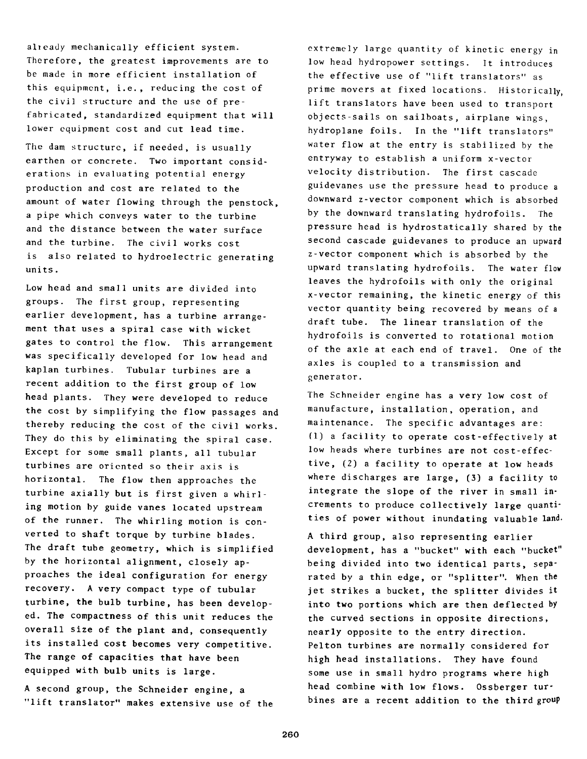alieady mechanically efficient system. Therefore, the greatest improvements are to be made in more efficient installation of this equipment, i.e., reducing the cost of the civil structure and the use of prefabricated, standardized equipment that will lower equipment cost and cut lead time.

The dam structure, if needed, is usually earthen or concrete. Two important considerations in evaluating potential energy production and cost are related to the amount of water flowing through the penstock, a pipe which conveys water to the turbine and the distance between the water surface and the turbine. The civil works cost is also related to hydroelectric generating units.

Low head and small units are divided into groups. The first group, representing earlier development, has a turbine arrangement that uses a spiral case with wicket gates to control the flow. This arrangement was specifically developed for low head and kaplan turbines. Tubular turbines are a recent addition to the first group of low head plants. They were developed to reduce the cost by simplifying the flow passages and thereby reducing the cost of the civil works. They do this by eliminating the spiral case. Except for some small plants, all tubular turbines are oriented so their axis is horizontal. The flow then approaches the turbine axially but is first given a whirling motion by guide vanes located upstream of the runner. The whirling motion is converted to shaft torque by turbine blades. The draft tube geometry, which is simplified by the horizontal alignment, closely approaches the ideal configuration for energy recovery. A very compact type of tubular turbine, the bulb turbine, has been developed. The compactness of this unit reduces the overall size of the plant and, consequently its installed cost becomes very competitive. The range of capacities that have been equipped with bulb units is large.

A second group, the Schneider engine, a "lift translator" makes extensive use of the extremely large quantity of kinetic energy in low head hydropower settings. It introduces the effective use of "lift translators" as prime movers at fixed locations. Historically, lift translators have been used to transport objects-sails on sailboats, airplane wings, hydroplane foils. In the "lift translators" water flow at the entry is stabilized by the entryway to establish a uniform x-vector velocity distribution. The first cascade guidevanes use the pressure head to produce a downward z-vector component which is absorbed by the downward translating hydrofoils. The pressure head is hydrostatically shared by the second cascade guidevanes to produce an upward z-vector component which is absorbed by the upward translating hydrofoils. The water flow leaves the hydrofoils with only the original x-vector remaining, the kinetic energy of this vector quantity being recovered by means of a draft tube. The linear translation of the hydrofoils is converted to rotational motion of the axle at each end of travel. One of the axles is coupled to a transmission and generator.

The Schneider engine has a very low cost of manufacture, installation, operation, and maintenance. The specific advantages are: (1) a facility to operate cost-effectively at low heads where turbines are not cost-effective, (2) a facility to operate at low heads where discharges are large, (3) a facility to integrate the slope of the river in small increments to produce collectively large quantities of power without inundating valuable land.

A third group, also representing earlier development, has a "bucket" with each "bucket" being divided into two identical parts, separated by a thin edge, or "splitter". When the jet strikes a bucket, the splitter divides it into two portions which are then deflected by the curved sections in opposite directions, nearly opposite to the entry direction. Pelton turbines are normally considered for high head installations. They have found some use in small hydro programs where high head combine with low flows. Ossberger turbines are a recent addition to the third group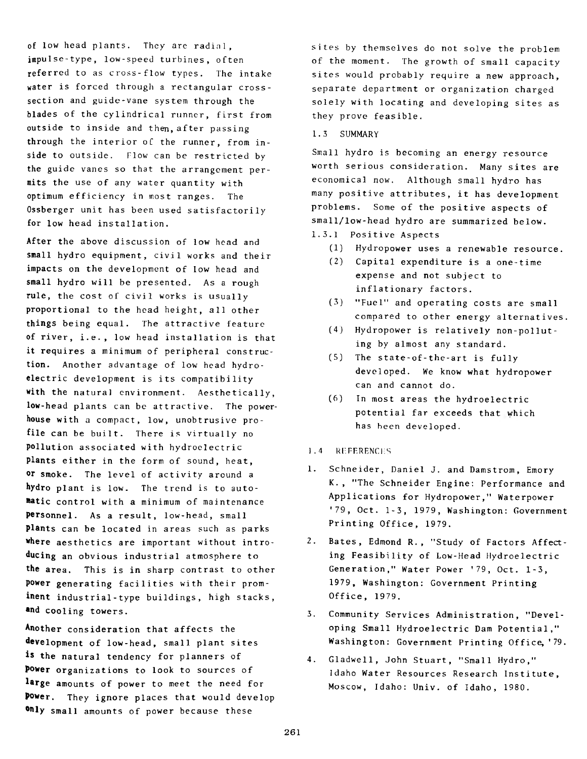of low head plants. They are radial, impulse-type, low-speed turbines, often referred to as cross-flow types. The intake water is forced through a rectangular crosssection and guide-vane system through the blades of the cylindrical runner, first from outside to inside and then, after passing through the interior of the runner, from inside to outside. Flow can be restricted by the guide vanes so that the arrangement permits the use of any water quantity with optimum efficiency in most ranges. The Ossberger unit has been used satisfactorily for low head installation.

After the above discussion of low head and small hydro equipment, civil works and their impacts on the development of low head and small hydro will be presented. As a rough rule, the cost of civil works is usually proportional to the head height, all other things being equal. The attractive feature of river, i.e., low head installation is that it requires a minimum of peripheral construction. Another advantage of low head hydroelectric development is its compatibility with the natural environment. Aesthetically, low-head plants can be attractive. The powerhouse with a compact, low, unobtrusive profile can be built. There is virtually no pollution associated with hydroelectric plants either in the form of sound, heat, or smoke. The level of activity around a hydro plant is low. The trend is to auto- ®atic control with a minimum of maintenance personnel. As a result, low-head, small Plants can be located in areas such as parks where aesthetics are important without introducing an obvious industrial atmosphere to the area. This is in sharp contrast to other power generating facilities with their prominent industrial - type buildings, high stacks, and cooling towers.

Another consideration that affects the development of low-head, small plant sites is the natural tendency for planners of Power organizations to look to sources of large amounts of power to meet the need for Power. They ignore places that would develop only small amounts of power because these

sites by themselves do not solve the problem of the moment. The growth of small capacity sites would probably require a new approach, separate department or organization charged solely with locating and developing sites as they prove feasible.

#### 1.3 SUMMARY

Small hydro is becoming an energy resource worth serious consideration. Many sites are economical now. Although small hydro has many positive attributes, it has development problems. Some of the positive aspects of small/low-head hydro are summarized below.

- 1.3.1 Positive Aspects
	- (1) Hydropower uses a renewable resource.
	- (2) Capital expenditure is a one-time expense and not subject to inflationary factors.
	- (3) "Fuel" and operating costs are small compared to other energy alternatives.
	- $(4)$  Hydropower is relatively non-polluting by almost any standard.
	- (5) The state-of-the-art is fully developed. We know what hydropower can and cannot do.
	- (6) In most areas the hydroelectric potential far exceeds that which has been developed.
- 1.4 REFERENCES
- 1. Schneider, Daniel J. and Damstrom, Emory K., "The Schneider Engine: Performance and Applications for Hydropower," Waterpower '79, Oct. 1-3, 1979, Washington: Government Printing Office, 1979.
- 2. Bates, Edmond R., "Study of Factors Affecting Feasibility of Low-Head Hydroelectric Generation," Water Power '79, Oct. 1-3, 1979, Washington: Government Printing Office, 1979.
- 3. Community Services Administration, "Developing Small Hydroelectric Dam Potential," Washington: Government Printing Office, '79.
- 4. Gladwell, John Stuart, "Small Hydro," Idaho Water Resources Research Institute, Moscow, Idaho: Univ. of Idaho, 1980.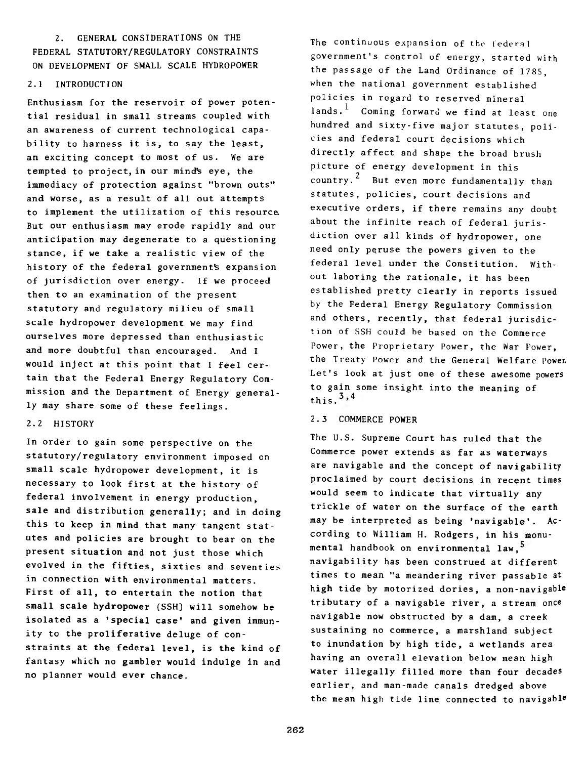2. GENERAL CONSIDERATIONS ON THE FEDERAL STATUTORY/REGULATORY CONSTRAINTS ON DEVELOPMENT OF SMALL SCALE HYDROPOWER

## 2.1 INTRODUCTION

Enthusiasm for the reservoir of power potential residual in small streams coupled with an awareness of current technological capability to harness it is, to say the least, an exciting concept to most of us. We are tempted to project, in our mind's eye, the immediacy of protection against "brown outs" and worse, as a result of all out attempts to implement the utilization of this resource. But our enthusiasm may erode rapidly and our anticipation may degenerate to a questioning stance, if we take a realistic view of the history of the federal government's expansion of jurisdiction over energy. If we proceed then to an examination of the present statutory and regulatory milieu of small scale hydropower development we may find ourselves more depressed than enthusiastic and more doubtful than encouraged. And I would inject at this point that I feel certain that the Federal Energy Regulatory Commission and the Department of Energy generally may share some of these feelings.

#### 2.2 HISTORY

In order to gain some perspective on the statutory/regulatory environment imposed on small scale hydropower development, it is necessary to look first at the history of federal involvement in energy production, sale and distribution generally; and in doing this to keep in mind that many tangent statutes and policies are brought to bear on the present situation and not just those which evolved in the fifties, sixties and seventies in connection with environmental matters. First of all, to entertain the notion that small scale hydropower (SSH) will somehow be isolated as a 'special case' and given immunity to the proliferative deluge of constraints at the federal level, is the kind of fantasy which no gambler would indulge in and no planner would ever chance.

The continuous expansion of the federal government's control of energy, started with the passage of the Land Ordinance of 1785, when the national government established policies in regard to reserved mineral lands.<sup>1</sup> Coming forward we find at least one hundred and sixty-five major statutes, policies and federal court decisions which directly affect and shape the broad brush picture of energy development in this country.<sup>2</sup> But even more fundamentally than statutes, policies, court decisions and executive orders, if there remains any doubt about the infinite reach of federal jurisdiction over all kinds of hydropower, one need only peruse the powers given to the federal level under the Constitution. Without laboring the rationale, it has been established pretty clearly in reports issued by the Federal Energy Regulatory Commission and others, recently, that federal jurisdiction of SSH could be based on the Commerce Power, the Proprietary Power, the War Power, the Treaty Power and the General Welfare Power. Let's look at just one of these awesome powers to gain some insight into the meaning of this.<sup>3,4</sup>

## 2.3 COMMERCE POWER

The U.S. Supreme Court has ruled that the Commerce power extends as far as waterways are navigable and the concept of navigability proclaimed by court decisions in recent times would seem to indicate that virtually any trickle of water on the surface of the earth may be interpreted as being 'navigable'. According to William H. Rodgers, in his monumental handbook on environmental law,<sup>5</sup> navigability has been construed at different times to mean "a meandering river passable at high tide by motorized dories, a non-navigable tributary of a navigable river, a stream once navigable now obstructed by a dam, a creek sustaining no commerce, a marshland subject to inundation by high tide, a wetlands area having an overall elevation below mean high water illegally filled more than four decades earlier, and man-made canals dredged above the mean high tide line connected to navigable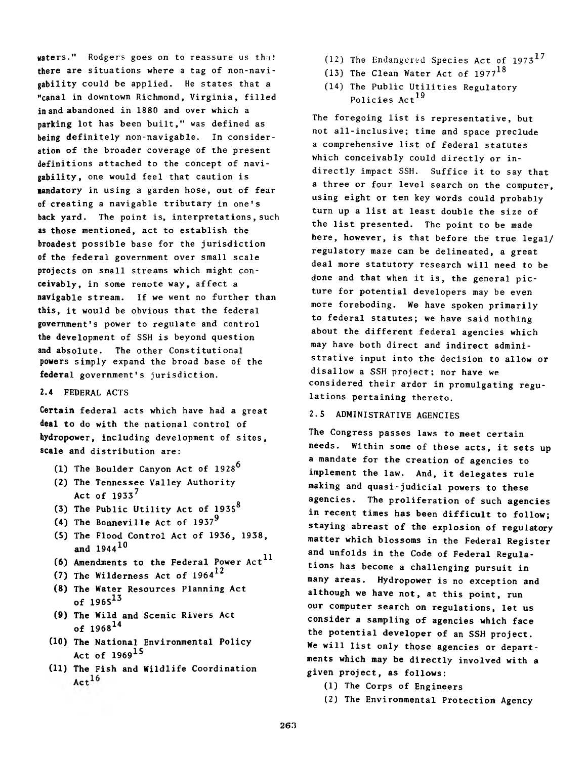waters." Rodgers goes on to reassure us that there are situations where a tag of non-navigability could be applied. He states that a "canal in downtown Richmond, Virginia, filled in and abandoned in 1880 and over which a parking lot has been built," was defined as being definitely non-navigable. In consideration of the broader coverage of the present definitions attached to the concept of navigability, one would feel that caution is ■andatory in using a garden hose, out of fear of creating a navigable tributary in one's back yard. The point is, interpretations, such as those mentioned, act to establish the broadest possible base for the jurisdiction of the federal government over small scale projects on small streams which might conceivably, in some remote way, affect a navigable stream. If we went no further than this, it would be obvious that the federal government's power to regulate and control the development of SSH is beyond question and absolute. The other Constitutional powers simply expand the broad base of the federal government's jurisdiction.

#### 2.4 FEDERAL ACTS

Certain federal acts which have had a great deal to do with the national control of hydropower, including development of sites, scale and distribution are:

- (1) The Boulder Canyon Act of 1928<sup>0</sup>
- (2) The Tennessee Valley Authority Act of  $1933<sup>7</sup>$
- (3) The Public Utility Act of  $1935^8$
- (4) The Bonneville Act of  $1937^9$
- (5) The Flood Control Act of 1936, 1938, and  $1944^{10}$
- (6) Amendments to the Federal Power  $Act^{11}$
- (7) The Wilderness Act of  $1964^{12}$
- (8) The Water Resources Planning Act of  $1965^{13}$
- (9) The Wild and Scenic Rivers Act of  $1968^{14}$
- (10) The National Environmental Policy Act of 1969<sup>15</sup>
- (11) The Fish and Wildlife Coordination  $Act^{16}$
- (12) The Endangered Species Act of 197317
- (13) The Clean Water Act of  $1977^{18}$
- (14) The Public Utilities Regulatory Policies Act $^{19}$

The foregoing list is representative, but not all-inclusive; time and space preclude a comprehensive list of federal statutes which conceivably could directly or indirectly impact SSH. Suffice it to say that a three or four level search on the computer, using eight or ten key words could probably turn up a list at least double the size of the list presented. The point to be made here, however, is that before the true legal/ regulatory maze can be delineated, a great deal more statutory research will need to be done and that when it is, the general picture for potential developers may be even more foreboding. We have spoken primarily to federal statutes; we have said nothing about the different federal agencies which may have both direct and indirect administrative input into the decision to allow or disallow a SSH project; nor have we considered their ardor in promulgating regulations pertaining thereto.

## 2.5 ADMINISTRATIVE AGENCIES

The Congress passes laws to meet certain needs. Within some of these acts, it sets up a mandate for the creation of agencies to implement the law. And, it delegates rule making and quasi-judicial powers to these agencies. The proliferation of such agencies in recent times has been difficult to follow; staying abreast of the explosion of regulatory matter which blossoms in the Federal Register and unfolds in the Code of Federal Regulations has become a challenging pursuit in many areas. Hydropower is no exception and although we have not, at this point, run our computer search on regulations, let us consider a sampling of agencies which face the potential developer of an SSH project. We will list only those agencies or departments which may be directly involved with a given project, as follows:

- (1) The Corps of Engineers
- (2) The Environmental Protection Agency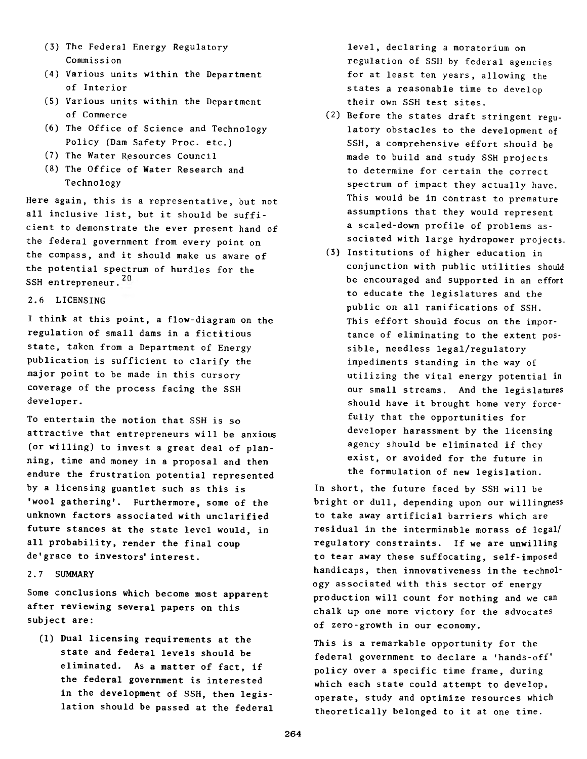- (3) The Federal Energy Regulatory Commission
- (4) Various units within the Department of Interior
- (5) Various units within the Department of Commerce
- (6) The Office of Science and Technology Policy (Dam Safety Proc. etc.)
- (7) The Water Resources Council
- (8) The Office of Water Research and Technology

Here again, this is a representative, but not all inclusive list, but it should be sufficient to demonstrate the ever present hand of the federal government from every point on the compass, and it should make us aware of the potential spectrum of hurdles for the SSH entrepreneur.<sup>20</sup>

# 2.6 LICENSING

I think at this point, a flow-diagram on the regulation of small dams in a fictitious state, taken from a Department of Energy publication is sufficient to clarify the major point to be made in this cursory coverage of the process facing the SSH developer.

To entertain the notion that SSH is so attractive that entrepreneurs will be anxious (or willing) to invest a great deal of planning, time and money in a proposal and then endure the frustration potential represented by a licensing guantlet such as this is 'wool gathering'. Furthermore, some of the unknown factors associated with unclarified future stances at the state level would, in all probability, render the final coup de'grace to investors' interest.

## 2.7 SUMMARY

Some conclusions which become most apparent after reviewing several papers on this subject are:

(1) Dual licensing requirements at the state and federal levels should be eliminated. As a matter of fact, if the federal government is interested in the development of SSH, then legislation should be passed at the federal level, declaring a moratorium on regulation of SSH by federal agencies for at least ten years, allowing the states a reasonable time to develop their own SSH test sites.

- (2) Before the states draft stringent regulatory obstacles to the development of SSH, a comprehensive effort should be made to build and study SSH projects to determine for certain the correct spectrum of impact they actually have. This would be in contrast to premature assumptions that they would represent a scaled-down profile of problems associated with large hydropower projects.
- (3) Institutions of higher education in conjunction with public utilities should be encouraged and supported in an effort to educate the legislatures and the public on all ramifications of SSH. This effort should focus on the importance of eliminating to the extent possible, needless legal/regulatory impediments standing in the way of utilizing the vital energy potential in our small streams. And the legislatures should have it brought home very forcefully that the opportunities for developer harassment by the licensing agency should be eliminated if they exist, or avoided for the future in the formulation of new legislation.

In short, the future faced by SSH will be bright or dull, depending upon our willingness to take away artificial barriers which are residual in the interminable morass of legal/ regulatory constraints. If we are unwilling to tear away these suffocating, self-imposed handicaps, then innovativeness in the technology associated with this sector of energy production will count for nothing and we can chalk up one more victory for the advocates of zero-growth in our economy.

This is a remarkable opportunity for the federal government to declare a 'hands-off' policy over a specific time frame, during which each state could attempt to develop, operate, study and optimize resources which theoretically belonged to it at one time.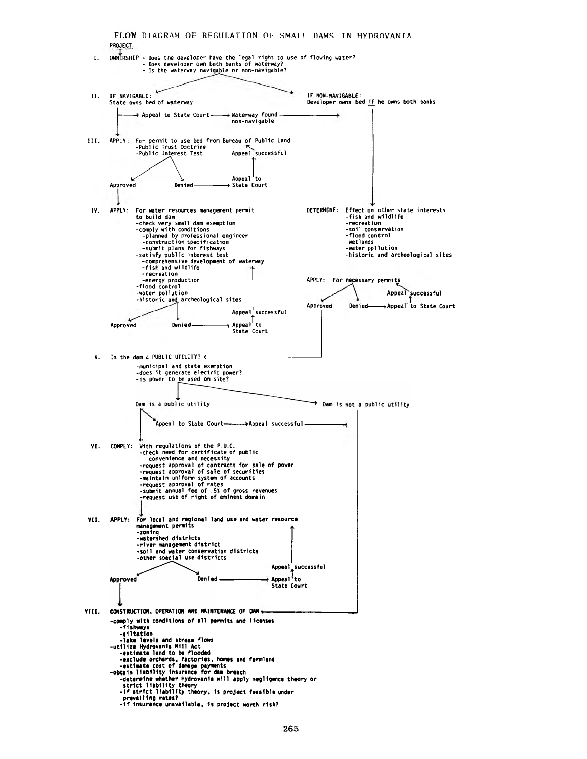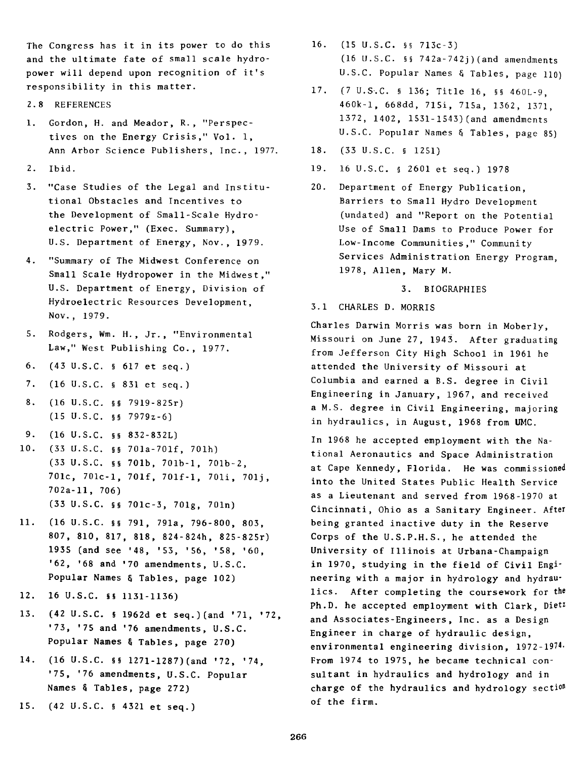The Congress has it in its power to do this and the ultimate fate of small scale hydropower will depend upon recognition of it's responsibility in this matter.

- 2.8 REFERENCES
- 1. Gordon, H. and Meador, R., "Perspectives on the Energy Crisis," Vol. 1, Ann Arbor Science Publishers, Inc., 1977.
- 2. Ibid.
- 3. "Case Studies of the Legal and Institu– tional Obstacles and Incentives to the Development of Small-Scale Hydroelectric Power," (Exec. Summary), U.S. Department of Energy, Nov., 1979.
- 4. "Summary of The Midwest Conference on Small Scale Hydropower in the Midwest," U.S. Department of Energy, Division of Hydroelectric Resources Development, Nov., 1979.
- 5. Rodgers, Wm. H., Jr., "Environmental Law," West Publishing Co., 1977.
- 6. (43 U.S.C. § 617 et seq.)
- 7.  $(16 \text{ U.S.C. } 831 \text{ et seq.})$
- 8 **.**  $(16 \text{ U.S.C. }$  §§ 7919-825r)  $(15 \text{ U.S.C. }$   $55 \text{ 7979z-6})$
- 9. (16 U.S.C. §§ 832-832L)
- 1 0.  $(33 \text{ U.S.C. }$   $55 \text{ 701a-701f. }$  701h) (33 U.S.C. §§ 701b, 701b-1, 701b-2, 701c, 701c-1, 701f, 701f-1, 701i, 701j,  $702a - 11, 706$ (33 U.S.C. §§ 7 0 1 c -3, 701g, 701n)
- **11.** (16 U.S.C. §§ 791, 791a, 796-800, 803, 807, 810, 817, 818, 824-824h, 825-825r) 1935 (and see '48, '53, '56, '58, '60, \*62, '68 and '70 amendments, U.S.C. Popular Names § Tables, page 102)
- 12. 16 U.S.C. §§ 1131-1136)
- 13. (42 U.S.C. § 1962d et seq.)(and '71, '72, '73, '75 and '76 amendments, U.S.C. Popular Names & Tables, page 270)
- 14. (16 U.S.C. §§ 1271-1287) (and '72, '74, '75, '76 amendments, U.S.C. Popular Names 8 Tables, page 272)
- 15. (42 U.S.C. § 4321 et seq.)
- 16. (15 U.S.C. §§ 713c-3) (16 U.S.C. §§ 74 2 a - 742j ) (and amendments U.S.C. Popular Names 8 Tables, page 110)
- 17. (7 U.S.C. § 136; Title 16, §§ 460L-9, 4 60k-1 , 6 6 8 d d , 715i, 715a, 1362, **1371,** 1372, 1402, 1531-1543) (and amendments U.S.C. Popular Names & Tables, page 85)
- 18. (33 U.S.C. § 1251)
- 19. 16 U.S.C. § 2601 et seq.) 1978
- 20. Department of Energy Publication, Barriers to Small Hydro Development (undated) and "Report on the Potential Use of Small Dams to Produce Power for Low-Income Communities," Community Services Administration Energy Program, 1978, Allen, Mary M.

#### 3. BIOGRAPHIES

## 3.1 CHARLES D. MORRIS

Charles Darwin Morris was born in Moberly, Missouri on June 27, 1943. After graduating from Jefferson City High School in 1961 he attended the University of Missouri at Columbia and earned a B.S. degree in Civil Engineering in January, 1967, and received a M.S. degree in Civil Engineering, majoring in hydraulics, in August, 1968 from UMC.

In 1968 he accepted employment with the National Aeronautics and Space Administration at Cape Kennedy, Florida. He was commissioned into the United States Public Health Service as a Lieutenant and served from 1968-1970 at Cincinnati, Ohio as a Sanitary Engineer. After being granted inactive duty in the Reserve Corps of the U.S.P.H.S., he attended the University of Illinois at Urbana-Champaign in 1970, studying in the field of Civil Engineering with a major in hydrology and hydraulics. After completing the coursework for the Ph.D. he accepted employment with Clark, Dietz and Associates-Engineers, Inc. as a Design Engineer in charge of hydraulic design, environmental engineering division, 1972-1974. From 1974 to 1975, he became technical consultant in hydraulics and hydrology and in charge of the hydraulics and hydrology section of the firm.